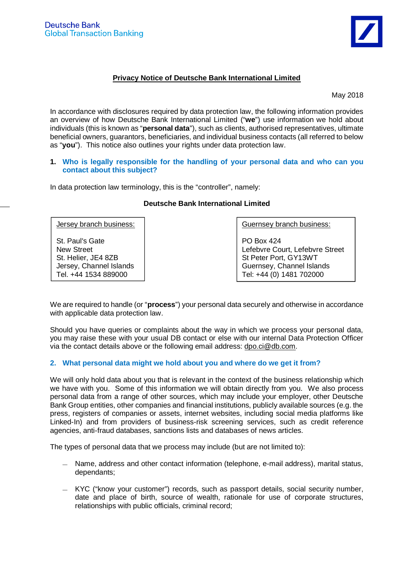

# **Privacy Notice of Deutsche Bank International Limited**

May 2018

In accordance with disclosures required by data protection law, the following information provides an overview of how Deutsche Bank International Limited ("**we**") use information we hold about individuals (this is known as "**personal data**"), such as clients, authorised representatives, ultimate beneficial owners, guarantors, beneficiaries, and individual business contacts (all referred to below as "**you**"). This notice also outlines your rights under data protection law.

### **1. Who is legally responsible for the handling of your personal data and who can you contact about this subject?**

In data protection law terminology, this is the "controller", namely:

### Jersey branch business: St. Paul's Gate New Street St. Helier, JE4 8ZB Jersey, Channel Islands Tel. +44 1534 889000 Guernsey branch business: PO Box 424 Lefebvre Court, Lefebvre Street St Peter Port, GY13WT Guernsey, Channel Islands Tel: +44 (0) 1481 702000

# **Deutsche Bank International Limited**

We are required to handle (or "**process**") your personal data securely and otherwise in accordance with applicable data protection law.

Should you have queries or complaints about the way in which we process your personal data, you may raise these with your usual DB contact or else with our internal Data Protection Officer via the contact details above or the following email address: dpo.ci@db.com.

# **2. What personal data might we hold about you and where do we get it from?**

We will only hold data about you that is relevant in the context of the business relationship which we have with you. Some of this information we will obtain directly from you. We also process personal data from a range of other sources, which may include your employer, other Deutsche Bank Group entities, other companies and financial institutions, publicly available sources (e.g. the press, registers of companies or assets, internet websites, including social media platforms like Linked-In) and from providers of business-risk screening services, such as credit reference agencies, anti-fraud databases, sanctions lists and databases of news articles.

The types of personal data that we process may include (but are not limited to):

- Name, address and other contact information (telephone, e-mail address), marital status, dependants;
- KYC ("know your customer") records, such as passport details, social security number, date and place of birth, source of wealth, rationale for use of corporate structures, relationships with public officials, criminal record;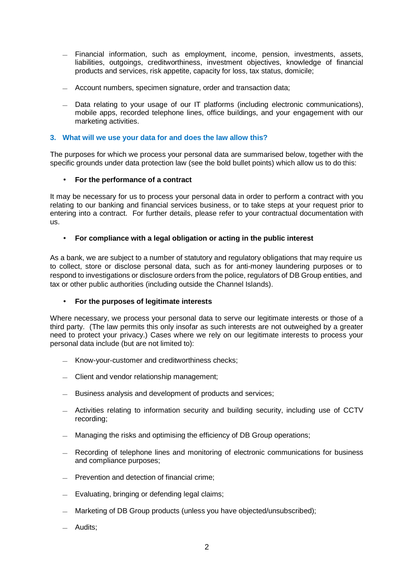- Financial information, such as employment, income, pension, investments, assets, liabilities, outgoings, creditworthiness, investment objectives, knowledge of financial products and services, risk appetite, capacity for loss, tax status, domicile;
- Account numbers, specimen signature, order and transaction data;
- Data relating to your usage of our IT platforms (including electronic communications), mobile apps, recorded telephone lines, office buildings, and your engagement with our marketing activities.

# **3. What will we use your data for and does the law allow this?**

The purposes for which we process your personal data are summarised below, together with the specific grounds under data protection law (see the bold bullet points) which allow us to do this:

# **For the performance of a contract**

It may be necessary for us to process your personal data in order to perform a contract with you relating to our banking and financial services business, or to take steps at your request prior to entering into a contract. For further details, please refer to your contractual documentation with us.

#### l, **For compliance with a legal obligation or acting in the public interest**

As a bank, we are subject to a number of statutory and regulatory obligations that may require us to collect, store or disclose personal data, such as for anti-money laundering purposes or to respond to investigations or disclosure orders from the police, regulators of DB Group entities, and tax or other public authorities (including outside the Channel Islands).

#### $\overline{a}$ **For the purposes of legitimate interests**

Where necessary, we process your personal data to serve our legitimate interests or those of a third party. (The law permits this only insofar as such interests are not outweighed by a greater need to protect your privacy.) Cases where we rely on our legitimate interests to process your personal data include (but are not limited to):

- Know-your-customer and creditworthiness checks;
- Client and vendor relationship management;
- Business analysis and development of products and services;
- Activities relating to information security and building security, including use of CCTV recording;
- Managing the risks and optimising the efficiency of DB Group operations;
- Recording of telephone lines and monitoring of electronic communications for business and compliance purposes;
- Prevention and detection of financial crime;
- Evaluating, bringing or defending legal claims;
- Marketing of DB Group products (unless you have objected/unsubscribed);
- Audits;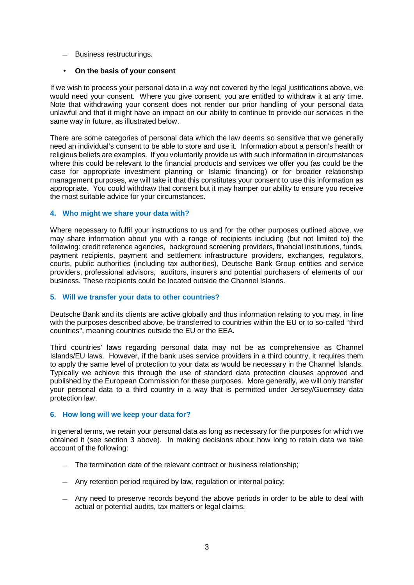— Business restructurings.

#### **On the basis of your consent**  $\mathbf{r}$

If we wish to process your personal data in a way not covered by the legal justifications above, we would need your consent. Where you give consent, you are entitled to withdraw it at any time. Note that withdrawing your consent does not render our prior handling of your personal data unlawful and that it might have an impact on our ability to continue to provide our services in the same way in future, as illustrated below.

There are some categories of personal data which the law deems so sensitive that we generally need an individual's consent to be able to store and use it. Information about a person's health or religious beliefs are examples. If you voluntarily provide us with such information in circumstances where this could be relevant to the financial products and services we offer you (as could be the case for appropriate investment planning or Islamic financing) or for broader relationship management purposes, we will take it that this constitutes your consent to use this information as appropriate. You could withdraw that consent but it may hamper our ability to ensure you receive the most suitable advice for your circumstances.

### **4. Who might we share your data with?**

Where necessary to fulfil your instructions to us and for the other purposes outlined above, we may share information about you with a range of recipients including (but not limited to) the following: credit reference agencies, background screening providers, financial institutions, funds, payment recipients, payment and settlement infrastructure providers, exchanges, regulators, courts, public authorities (including tax authorities), Deutsche Bank Group entities and service providers, professional advisors, auditors, insurers and potential purchasers of elements of our business. These recipients could be located outside the Channel Islands.

### **5. Will we transfer your data to other countries?**

Deutsche Bank and its clients are active globally and thus information relating to you may, in line with the purposes described above, be transferred to countries within the EU or to so-called "third countries", meaning countries outside the EU or the EEA.

Third countries' laws regarding personal data may not be as comprehensive as Channel Islands/EU laws. However, if the bank uses service providers in a third country, it requires them to apply the same level of protection to your data as would be necessary in the Channel Islands. Typically we achieve this through the use of standard data protection clauses approved and published by the European Commission for these purposes. More generally, we will only transfer your personal data to a third country in a way that is permitted under Jersey/Guernsey data protection law.

## **6. How long will we keep your data for?**

In general terms, we retain your personal data as long as necessary for the purposes for which we obtained it (see section 3 above). In making decisions about how long to retain data we take account of the following:

- The termination date of the relevant contract or business relationship;
- Any retention period required by law, regulation or internal policy;
- Any need to preserve records beyond the above periods in order to be able to deal with actual or potential audits, tax matters or legal claims.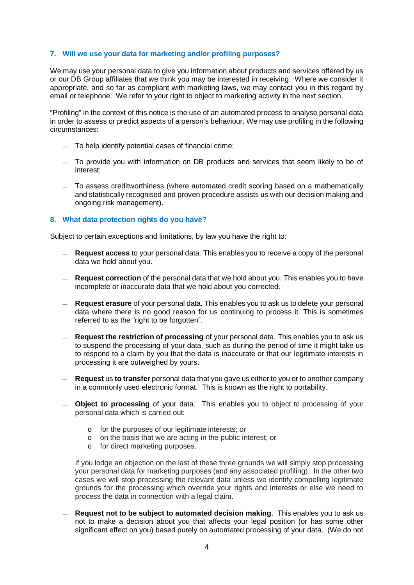# **7. Will we use your data for marketing and/or profiling purposes?**

We may use your personal data to give you information about products and services offered by us or our DB Group affiliates that we think you may be interested in receiving. Where we consider it appropriate, and so far as compliant with marketing laws, we may contact you in this regard by email or telephone. We refer to your right to object to marketing activity in the next section.

"Profiling" in the context of this notice is the use of an automated process to analyse personal data in order to assess or predict aspects of a person's behaviour. We may use profiling in the following circumstances:

- To help identify potential cases of financial crime;
- To provide you with information on DB products and services that seem likely to be of interest;
- To assess creditworthiness (where automated credit scoring based on a mathematically and statistically recognised and proven procedure assists us with our decision making and ongoing risk management).

### **8. What data protection rights do you have?**

Subject to certain exceptions and limitations, by law you have the right to:

- **Request access** to your personal data. This enables you to receive a copy of the personal data we hold about you.
- **Request correction** of the personal data that we hold about you. This enables you to have incomplete or inaccurate data that we hold about you corrected.
- **Request erasure** of your personal data. This enables you to ask us to delete your personal data where there is no good reason for us continuing to process it. This is sometimes referred to as the "right to be forgotten".
- **Request the restriction of processing** of your personal data. This enables you to ask us to suspend the processing of your data, such as during the period of time it might take us to respond to a claim by you that the data is inaccurate or that our legitimate interests in processing it are outweighed by yours.
- **Request** us **to transfer** personal data that you gave us either to you or to another company in a commonly used electronic format. This is known as the right to portability.
- **Object to processing** of your data. This enables you to object to processing of your personal data which is carried out:
	- o for the purposes of our legitimate interests; or
	- o on the basis that we are acting in the public interest; or
	- o for direct marketing purposes.

If you lodge an objection on the last of these three grounds we will simply stop processing your personal data for marketing purposes (and any associated profiling). In the other two cases we will stop processing the relevant data unless we identify compelling legitimate grounds for the processing which override your rights and interests or else we need to process the data in connection with a legal claim.

— **Request not to be subject to automated decision making**. This enables you to ask us not to make a decision about you that affects your legal position (or has some other significant effect on you) based purely on automated processing of your data. (We do not